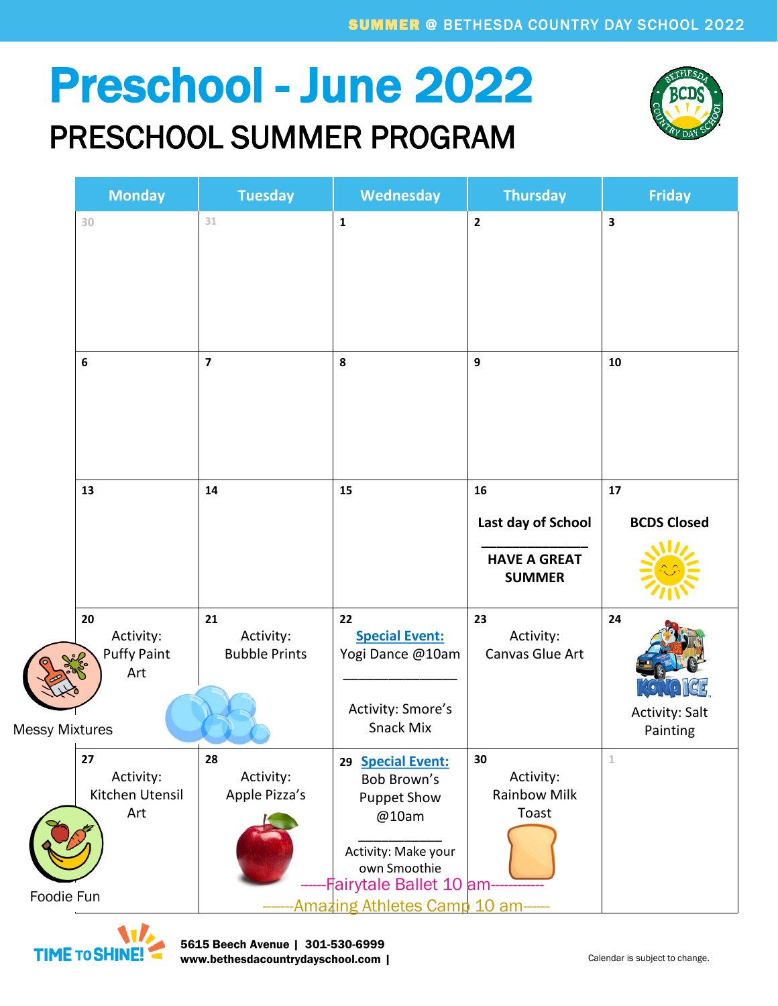## Preschool - June 2022

#### PRESCHOOL SUMMER PROGRAM



|                                                 | <b>Monday</b>                                | <b>Tuesday</b>                          | Wednesday                                                                                                                                   | <b>Thursday</b>                                 | <b>Friday</b>               |
|-------------------------------------------------|----------------------------------------------|-----------------------------------------|---------------------------------------------------------------------------------------------------------------------------------------------|-------------------------------------------------|-----------------------------|
|                                                 | 30                                           | 31                                      | $\mathbf 1$                                                                                                                                 | $\overline{2}$                                  | $\overline{\mathbf{3}}$     |
|                                                 | $\boldsymbol{6}$                             | $\overline{\mathbf{z}}$                 | 8                                                                                                                                           | 9                                               | 10                          |
|                                                 | 13                                           | 14                                      | 15                                                                                                                                          | 16                                              | ${\bf 17}$                  |
|                                                 |                                              |                                         |                                                                                                                                             | Last day of School                              | <b>BCDS Closed</b>          |
|                                                 |                                              |                                         |                                                                                                                                             | <b>HAVE A GREAT</b><br><b>SUMMER</b>            |                             |
|                                                 | 20<br>Activity:<br><b>Puffy Paint</b><br>Art | 21<br>Activity:<br><b>Bubble Prints</b> | 22<br><b>Special Event:</b><br>Yogi Dance @10am<br>Activity: Smore's                                                                        | 23<br>Activity:<br>Canvas Glue Art              | 24<br><b>Activity: Salt</b> |
| <b>Messy Mixtures</b>                           |                                              |                                         | Snack Mix                                                                                                                                   |                                                 | Painting                    |
|                                                 | 27<br>Activity:<br>Kitchen Utensil<br>Art    | 28<br>Activity:<br>Apple Pizza's        | <b>Special Event:</b><br>29<br>Bob Brown's<br><b>Puppet Show</b><br>@10am<br>Activity: Make your<br>own Smoothie<br>-Fairytale Ballet 10 am | 30<br>Activity:<br><b>Rainbow Milk</b><br>Toast | $\mathbf 1$                 |
| Foodie Fun<br>Amazing Athletes Camp 10 am------ |                                              |                                         |                                                                                                                                             |                                                 |                             |

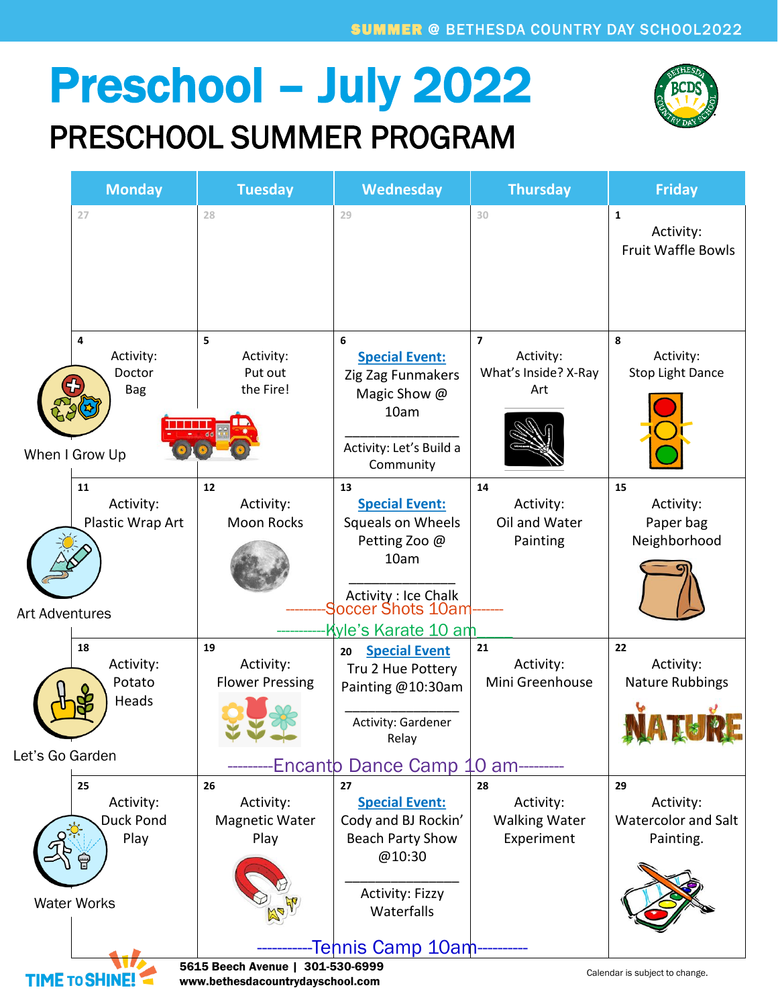## Preschool – July 2022 PRESCHOOL SUMMER PROGRAM



|                                                                                                                                | <b>Monday</b>      | <b>Tuesday</b>         | Wednesday                                       | <b>Thursday</b>                       | <b>Friday</b>              |  |  |
|--------------------------------------------------------------------------------------------------------------------------------|--------------------|------------------------|-------------------------------------------------|---------------------------------------|----------------------------|--|--|
|                                                                                                                                | 27                 | 28                     | 29                                              | 30                                    | $\mathbf{1}$<br>Activity:  |  |  |
|                                                                                                                                |                    |                        |                                                 |                                       | <b>Fruit Waffle Bowls</b>  |  |  |
|                                                                                                                                |                    |                        |                                                 |                                       |                            |  |  |
|                                                                                                                                |                    |                        |                                                 |                                       |                            |  |  |
|                                                                                                                                | 4<br>Activity:     | 5<br>Activity:         | 6<br><b>Special Event:</b>                      | $\overline{\phantom{a}}$<br>Activity: | 8<br>Activity:             |  |  |
|                                                                                                                                | Doctor             | Put out                | Zig Zag Funmakers                               | What's Inside? X-Ray                  | <b>Stop Light Dance</b>    |  |  |
|                                                                                                                                | <b>Bag</b>         | the Fire!              | Magic Show @<br>10am                            | Art                                   |                            |  |  |
|                                                                                                                                |                    |                        |                                                 |                                       |                            |  |  |
|                                                                                                                                | When I Grow Up     |                        | Activity: Let's Build a<br>Community            |                                       |                            |  |  |
|                                                                                                                                | 11<br>Activity:    | 12<br>Activity:        | 13<br><b>Special Event:</b>                     | 14<br>Activity:                       | 15<br>Activity:            |  |  |
|                                                                                                                                | Plastic Wrap Art   | <b>Moon Rocks</b>      | Squeals on Wheels                               | Oil and Water                         | Paper bag                  |  |  |
|                                                                                                                                |                    |                        | Petting Zoo @<br>10am                           | Painting                              | Neighborhood               |  |  |
|                                                                                                                                |                    |                        |                                                 |                                       |                            |  |  |
| <b>Art Adventures</b>                                                                                                          |                    |                        | Activity: Ice Chalk<br><b>Soccer Shots 10am</b> |                                       |                            |  |  |
|                                                                                                                                |                    |                        | Kyle's Karate 10 am                             |                                       |                            |  |  |
|                                                                                                                                | 18<br>Activity:    | 19<br>Activity:        | <b>Special Event</b><br>20<br>Tru 2 Hue Pottery | 21<br>Activity:                       | 22<br>Activity:            |  |  |
|                                                                                                                                | Potato<br>Heads    | <b>Flower Pressing</b> | Painting @10:30am                               | Mini Greenhouse                       | <b>Nature Rubbings</b>     |  |  |
|                                                                                                                                |                    |                        | Activity: Gardener                              |                                       |                            |  |  |
| Let's Go Garden                                                                                                                |                    |                        | Relay                                           |                                       |                            |  |  |
|                                                                                                                                |                    |                        | <b>Encanto Dance Camp</b>                       | 10 <sub>am</sub>                      |                            |  |  |
|                                                                                                                                | 25<br>Activity:    | 26<br>Activity:        | 27<br><b>Special Event:</b>                     | 28<br>Activity:                       | 29<br>Activity:            |  |  |
|                                                                                                                                | Duck Pond          | <b>Magnetic Water</b>  | Cody and BJ Rockin'                             | <b>Walking Water</b>                  | <b>Watercolor and Salt</b> |  |  |
|                                                                                                                                | Play               | Play                   | <b>Beach Party Show</b>                         | Experiment                            | Painting.                  |  |  |
|                                                                                                                                |                    |                        | @10:30                                          |                                       |                            |  |  |
|                                                                                                                                | <b>Water Works</b> |                        | <b>Activity: Fizzy</b><br>Waterfalls            |                                       |                            |  |  |
|                                                                                                                                |                    |                        |                                                 |                                       |                            |  |  |
| Tehnis Camp 10am                                                                                                               |                    |                        |                                                 |                                       |                            |  |  |
| 5615 Beech Avenue   301-530-6999<br>Calendar is subject to change.<br><b>TIME TO SHINE</b><br>www.bethesdacountrydayschool.com |                    |                        |                                                 |                                       |                            |  |  |